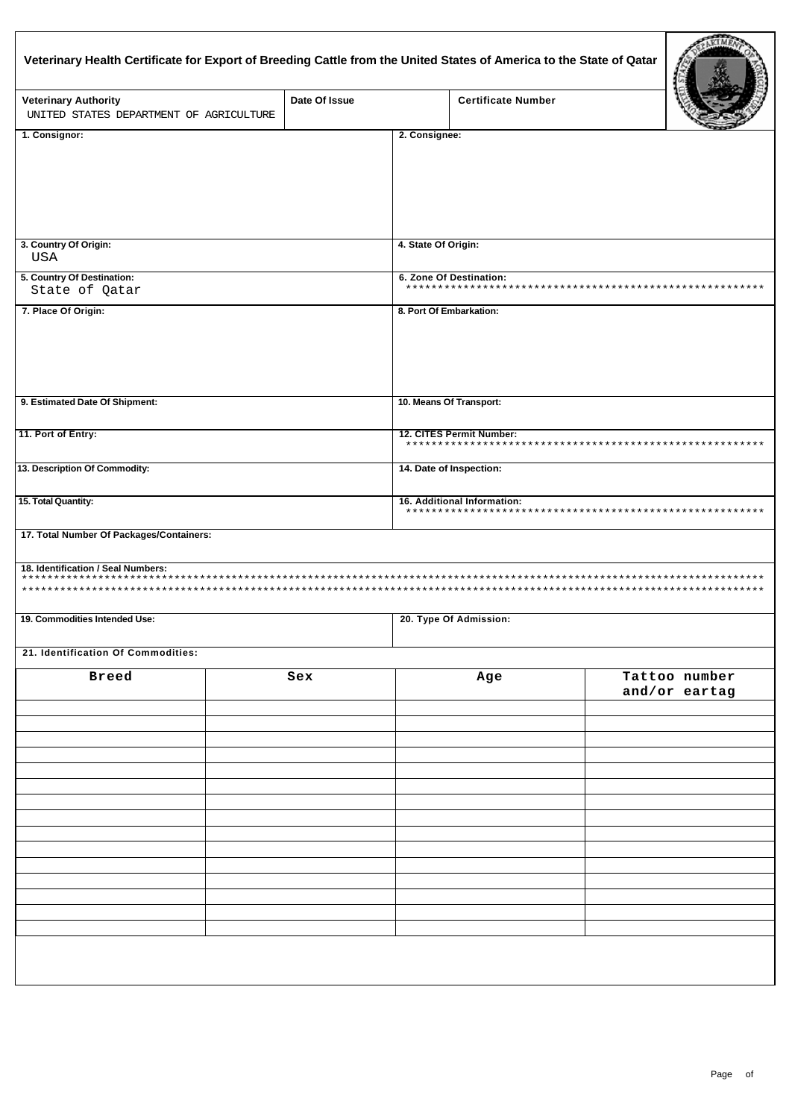| Veterinary Health Certificate for Export of Breeding Cattle from the United States of America to the State of Qatar |               |                          | <b>Certificate Number</b>   |                          |                                |  |  |  |  |  |  |  |
|---------------------------------------------------------------------------------------------------------------------|---------------|--------------------------|-----------------------------|--------------------------|--------------------------------|--|--|--|--|--|--|--|
| <b>Veterinary Authority</b><br>UNITED STATES DEPARTMENT OF AGRICULTURE                                              | Date Of Issue |                          |                             |                          |                                |  |  |  |  |  |  |  |
| 1. Consignor:                                                                                                       |               | 2. Consignee:            |                             |                          |                                |  |  |  |  |  |  |  |
|                                                                                                                     |               |                          |                             |                          |                                |  |  |  |  |  |  |  |
| 3. Country Of Origin:<br>USA                                                                                        |               | 4. State Of Origin:      |                             |                          |                                |  |  |  |  |  |  |  |
| 5. Country Of Destination:                                                                                          |               |                          | 6. Zone Of Destination:     |                          |                                |  |  |  |  |  |  |  |
| State of Qatar                                                                                                      |               |                          |                             |                          |                                |  |  |  |  |  |  |  |
| 7. Place Of Origin:                                                                                                 |               |                          | 8. Port Of Embarkation:     |                          |                                |  |  |  |  |  |  |  |
| 9. Estimated Date Of Shipment:                                                                                      |               |                          | 10. Means Of Transport:     |                          |                                |  |  |  |  |  |  |  |
| 11. Port of Entry:                                                                                                  |               | 12. CITES Permit Number: |                             |                          |                                |  |  |  |  |  |  |  |
| 13. Description Of Commodity:                                                                                       |               | 14. Date of Inspection:  |                             |                          |                                |  |  |  |  |  |  |  |
| 15. Total Quantity:                                                                                                 |               |                          | 16. Additional Information: |                          |                                |  |  |  |  |  |  |  |
| 17. Total Number Of Packages/Containers:                                                                            |               |                          |                             |                          |                                |  |  |  |  |  |  |  |
| 18. Identification / Seal Numbers:<br>***                                                                           |               |                          |                             | ************************ |                                |  |  |  |  |  |  |  |
| 19. Commodities Intended Use:                                                                                       |               |                          | 20. Type Of Admission:      |                          |                                |  |  |  |  |  |  |  |
| 21. Identification Of Commodities:                                                                                  |               |                          |                             |                          |                                |  |  |  |  |  |  |  |
| <b>Breed</b>                                                                                                        | Sex           |                          | Age                         |                          | Tattoo number<br>and/or eartag |  |  |  |  |  |  |  |
|                                                                                                                     |               |                          |                             |                          |                                |  |  |  |  |  |  |  |
|                                                                                                                     |               |                          |                             |                          |                                |  |  |  |  |  |  |  |
|                                                                                                                     |               |                          |                             |                          |                                |  |  |  |  |  |  |  |
|                                                                                                                     |               |                          |                             |                          |                                |  |  |  |  |  |  |  |
|                                                                                                                     |               |                          |                             |                          |                                |  |  |  |  |  |  |  |
|                                                                                                                     |               |                          |                             |                          |                                |  |  |  |  |  |  |  |
|                                                                                                                     |               |                          |                             |                          |                                |  |  |  |  |  |  |  |
|                                                                                                                     |               |                          |                             |                          |                                |  |  |  |  |  |  |  |
|                                                                                                                     |               |                          |                             |                          |                                |  |  |  |  |  |  |  |
|                                                                                                                     |               |                          |                             |                          |                                |  |  |  |  |  |  |  |
|                                                                                                                     |               |                          |                             |                          |                                |  |  |  |  |  |  |  |
|                                                                                                                     |               |                          |                             |                          |                                |  |  |  |  |  |  |  |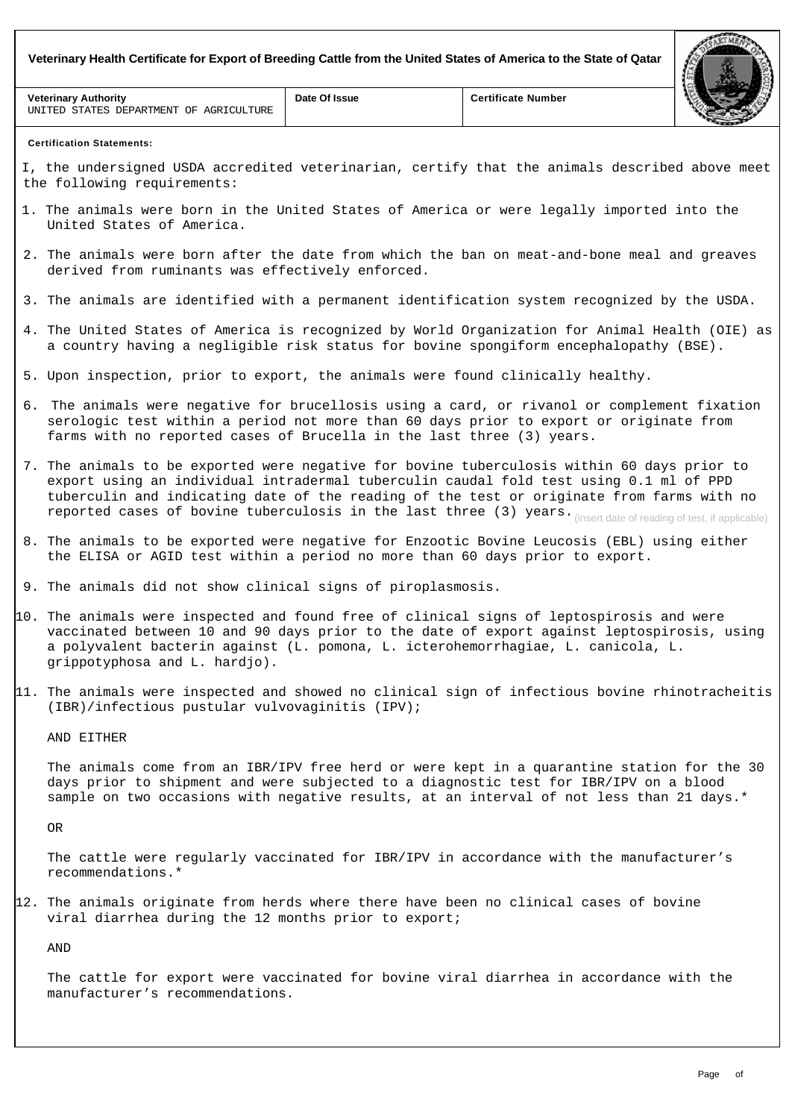**Veterinary Health Certificate for Export of Breeding Cattle from the United States of America to the State of Qatar**

| <b>Veterinary Authority</b><br>AGRICULTURE<br>STATES DEPARTMENT<br>OF<br>UNITED | Date Of Issue | <b>Certificate Number</b> |  |
|---------------------------------------------------------------------------------|---------------|---------------------------|--|

## **Certification Statements:**

I, the undersigned USDA accredited veterinarian, certify that the animals described above meet the following requirements:

- 1. The animals were born in the United States of America or were legally imported into the United States of America.
- 2. The animals were born after the date from which the ban on meat-and-bone meal and greaves derived from ruminants was effectively enforced.
- 3. The animals are identified with a permanent identification system recognized by the USDA.
- 4. The United States of America is recognized by World Organization for Animal Health (OIE) as a country having a negligible risk status for bovine spongiform encephalopathy (BSE).
- 5. Upon inspection, prior to export, the animals were found clinically healthy.
- 6. The animals were negative for brucellosis using a card, or rivanol or complement fixation serologic test within a period not more than 60 days prior to export or originate from farms with no reported cases of Brucella in the last three (3) years.
- 7. The animals to be exported were negative for bovine tuberculosis within 60 days prior to export using an individual intradermal tuberculin caudal fold test using 0.1 ml of PPD tuberculin and indicating date of the reading of the test or originate from farms with no reported cases of bovine tuberculosis in the last three (3) years. (insert date of reading of test, if applicable)
- 8. The animals to be exported were negative for Enzootic Bovine Leucosis (EBL) using either the ELISA or AGID test within a period no more than 60 days prior to export.
- 9. The animals did not show clinical signs of piroplasmosis.
- 10. The animals were inspected and found free of clinical signs of leptospirosis and were vaccinated between 10 and 90 days prior to the date of export against leptospirosis, using a polyvalent bacterin against (L. pomona, L. icterohemorrhagiae, L. canicola, L. grippotyphosa and L. hardjo).
- 11. The animals were inspected and showed no clinical sign of infectious bovine rhinotracheitis (IBR)/infectious pustular vulvovaginitis (IPV);

## AND EITHER

The animals come from an IBR/IPV free herd or were kept in a quarantine station for the 30 days prior to shipment and were subjected to a diagnostic test for IBR/IPV on a blood sample on two occasions with negative results, at an interval of not less than 21 days.\*

OR

The cattle were regularly vaccinated for IBR/IPV in accordance with the manufacturer's recommendations.\*

12. The animals originate from herds where there have been no clinical cases of bovine viral diarrhea during the 12 months prior to export;

AND

The cattle for export were vaccinated for bovine viral diarrhea in accordance with the manufacturer's recommendations.